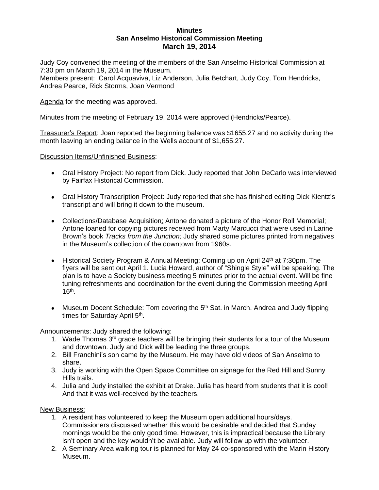## **Minutes San Anselmo Historical Commission Meeting March 19, 2014**

Judy Coy convened the meeting of the members of the San Anselmo Historical Commission at 7:30 pm on March 19, 2014 in the Museum.

Members present: Carol Acquaviva, Liz Anderson, Julia Betchart, Judy Coy, Tom Hendricks, Andrea Pearce, Rick Storms, Joan Vermond

Agenda for the meeting was approved.

Minutes from the meeting of February 19, 2014 were approved (Hendricks/Pearce).

Treasurer's Report: Joan reported the beginning balance was \$1655.27 and no activity during the month leaving an ending balance in the Wells account of \$1,655.27.

Discussion Items/Unfinished Business:

- Oral History Project: No report from Dick. Judy reported that John DeCarlo was interviewed by Fairfax Historical Commission.
- Oral History Transcription Project: Judy reported that she has finished editing Dick Kientz's transcript and will bring it down to the museum.
- Collections/Database Acquisition: Antone donated a picture of the Honor Roll Memorial; Antone loaned for copying pictures received from Marty Marcucci that were used in Larine Brown's book *Tracks from the Junction;* Judy shared some pictures printed from negatives in the Museum's collection of the downtown from 1960s.
- Historical Society Program & Annual Meeting: Coming up on April 24<sup>th</sup> at 7:30pm. The flyers will be sent out April 1. Lucia Howard, author of "Shingle Style" will be speaking. The plan is to have a Society business meeting 5 minutes prior to the actual event. Will be fine tuning refreshments and coordination for the event during the Commission meeting April 16th .
- Museum Docent Schedule: Tom covering the 5<sup>th</sup> Sat. in March. Andrea and Judy flipping times for Saturday April 5<sup>th</sup>.

Announcements: Judy shared the following:

- 1. Wade Thomas 3<sup>rd</sup> grade teachers will be bringing their students for a tour of the Museum and downtown. Judy and Dick will be leading the three groups.
- 2. Bill Franchini's son came by the Museum. He may have old videos of San Anselmo to share.
- 3. Judy is working with the Open Space Committee on signage for the Red Hill and Sunny Hills trails.
- 4. Julia and Judy installed the exhibit at Drake. Julia has heard from students that it is cool! And that it was well-received by the teachers.

New Business:

- 1. A resident has volunteered to keep the Museum open additional hours/days. Commissioners discussed whether this would be desirable and decided that Sunday mornings would be the only good time. However, this is impractical because the Library isn't open and the key wouldn't be available. Judy will follow up with the volunteer.
- 2. A Seminary Area walking tour is planned for May 24 co-sponsored with the Marin History Museum.